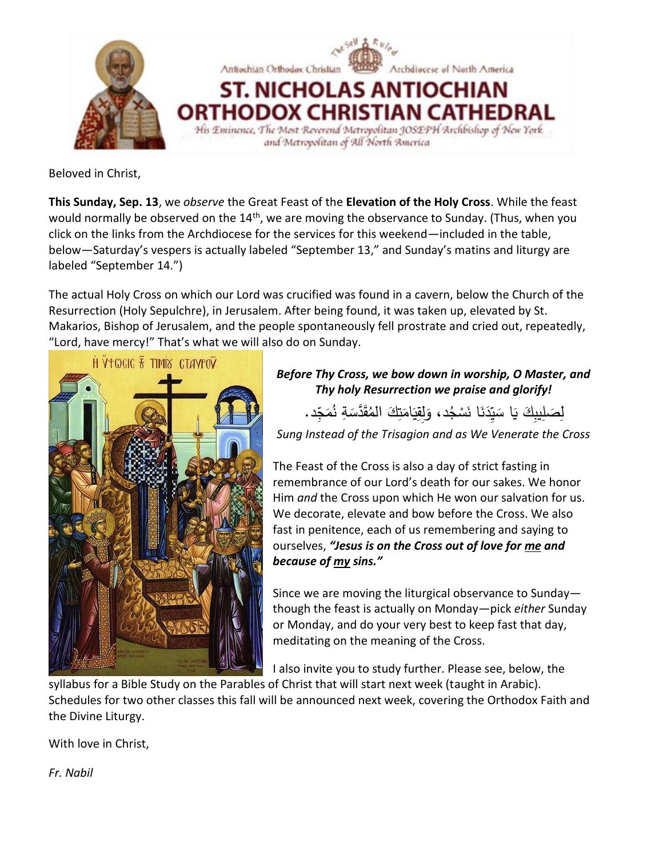

Beloved in Christ,

**This Sunday, Sep. 13**, we *observe* the Great Feast of the **Elevation of the Holy Cross**. While the feast would normally be observed on the 14<sup>th</sup>, we are moving the observance to Sunday. (Thus, when you click on the links from the Archdiocese for the services for this weekend—included in the table, below—Saturday's vespers is actually labeled "September 13," and Sunday's matins and liturgy are labeled "September 14.")

The actual Holy Cross on which our Lord was crucified was found in a cavern, below the Church of the Resurrection (Holy Sepulchre), in Jerusalem. After being found, it was taken up, elevated by St. Makarios, Bishop of Jerusalem, and the people spontaneously fell prostrate and cried out, repeatedly, "Lord, have mercy!" That's what we will also do on Sunday.



*Before Thy Cross, we bow down in worship, O Master, and Thy holy Resurrection we praise and glorify!*

ٔ<br>ا لِصَلِيبِكَ يَا سَيِّدَنَا نَسْجُد، وَلِقِيَامَتِكَ الْمُقَدَّسَةِ نُمَجِّد. َ ً<br>ً ا<br>ا .<br>م ٔ<br>ا ً<br>ً ٔ. َ ْ َ .<br>ا ا<br>ا  $\ddot{ }$ 

*Sung Instead of the Trisagion and as We Venerate the Cross*

The Feast of the Cross is also a day of strict fasting in remembrance of our Lord's death for our sakes. We honor Him *and* the Cross upon which He won our salvation for us. We decorate, elevate and bow before the Cross. We also fast in penitence, each of us remembering and saying to ourselves, *"Jesus is on the Cross out of love for me and because of my sins."*

Since we are moving the liturgical observance to Sunday though the feast is actually on Monday—pick *either* Sunday or Monday, and do your very best to keep fast that day, meditating on the meaning of the Cross.

I also invite you to study further. Please see, below, the

syllabus for a Bible Study on the Parables of Christ that will start next week (taught in Arabic). Schedules for two other classes this fall will be announced next week, covering the Orthodox Faith and the Divine Liturgy.

With love in Christ,

*Fr. Nabil*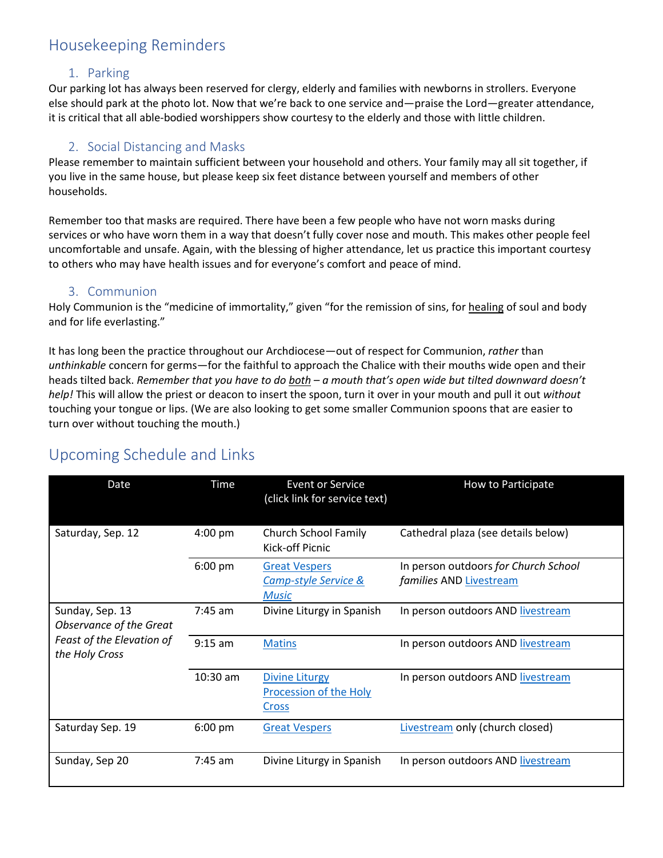## Housekeeping Reminders

### 1. Parking

Our parking lot has always been reserved for clergy, elderly and families with newborns in strollers. Everyone else should park at the photo lot. Now that we're back to one service and—praise the Lord—greater attendance, it is critical that all able-bodied worshippers show courtesy to the elderly and those with little children.

### 2. Social Distancing and Masks

Please remember to maintain sufficient between your household and others. Your family may all sit together, if you live in the same house, but please keep six feet distance between yourself and members of other households.

Remember too that masks are required. There have been a few people who have not worn masks during services or who have worn them in a way that doesn't fully cover nose and mouth. This makes other people feel uncomfortable and unsafe. Again, with the blessing of higher attendance, let us practice this important courtesy to others who may have health issues and for everyone's comfort and peace of mind.

### 3. Communion

Holy Communion is the "medicine of immortality," given "for the remission of sins, for healing of soul and body and for life everlasting."

It has long been the practice throughout our Archdiocese—out of respect for Communion, *rather* than *unthinkable* concern for germs—for the faithful to approach the Chalice with their mouths wide open and their heads tilted back. *Remember that you have to do both – a mouth that's open wide but tilted downward doesn't help!* This will allow the priest or deacon to insert the spoon, turn it over in your mouth and pull it out *without* touching your tongue or lips. (We are also looking to get some smaller Communion spoons that are easier to turn over without touching the mouth.)

# Upcoming Schedule and Links

| Date                                        | Time       | Event or Service<br>(click link for service text)                       | How to Participate                                              |
|---------------------------------------------|------------|-------------------------------------------------------------------------|-----------------------------------------------------------------|
| Saturday, Sep. 12                           | 4:00 pm    | <b>Church School Family</b><br>Kick-off Picnic                          | Cathedral plaza (see details below)                             |
|                                             | $6:00$ pm  | <b>Great Vespers</b><br><b>Camp-style Service &amp;</b><br><b>Music</b> | In person outdoors for Church School<br>families AND Livestream |
| Sunday, Sep. 13<br>Observance of the Great  | $7:45$ am  | Divine Liturgy in Spanish                                               | In person outdoors AND livestream                               |
| Feast of the Elevation of<br>the Holy Cross | $9:15$ am  | <b>Matins</b>                                                           | In person outdoors AND livestream                               |
|                                             | $10:30$ am | <b>Divine Liturgy</b><br><b>Procession of the Holy</b><br>Cross         | In person outdoors AND livestream                               |
| Saturday Sep. 19                            | $6:00$ pm  | <b>Great Vespers</b>                                                    | Livestream only (church closed)                                 |
| Sunday, Sep 20                              | $7:45$ am  | Divine Liturgy in Spanish                                               | In person outdoors AND livestream                               |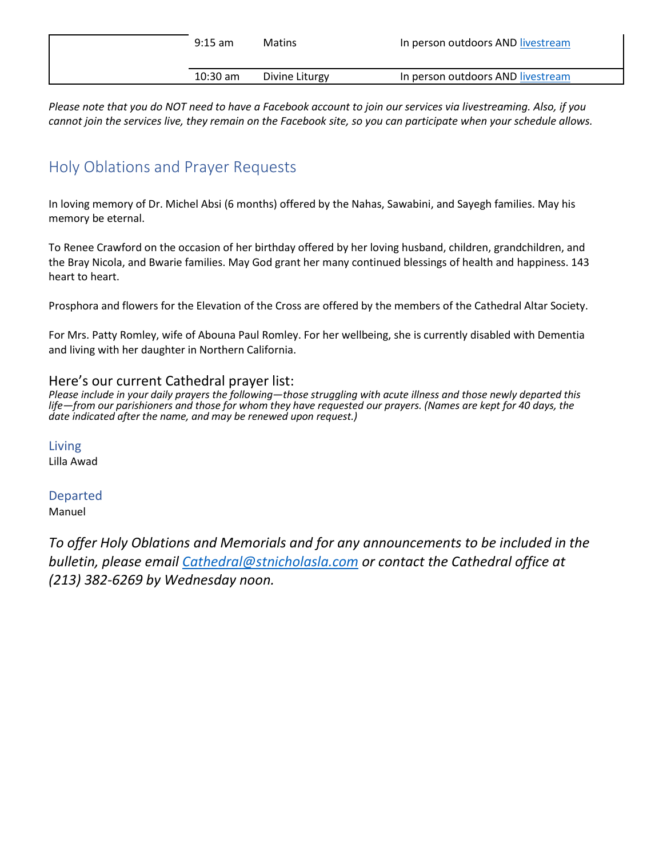| $9:15$ am | <b>Matins</b>  | In person outdoors AND livestream |
|-----------|----------------|-----------------------------------|
| 10:30 am  | Divine Liturgy | In person outdoors AND livestream |

*Please note that you do NOT need to have a Facebook account to join our services via livestreaming. Also, if you cannot join the services live, they remain on the Facebook site, so you can participate when your schedule allows.*

### Holy Oblations and Prayer Requests

In loving memory of Dr. Michel Absi (6 months) offered by the Nahas, Sawabini, and Sayegh families. May his memory be eternal.

To Renee Crawford on the occasion of her birthday offered by her loving husband, children, grandchildren, and the Bray Nicola, and Bwarie families. May God grant her many continued blessings of health and happiness. 143 heart to heart.

Prosphora and flowers for the Elevation of the Cross are offered by the members of the Cathedral Altar Society.

For Mrs. Patty Romley, wife of Abouna Paul Romley. For her wellbeing, she is currently disabled with Dementia and living with her daughter in Northern California.

### Here's our current Cathedral prayer list:

*Please include in your daily prayers the following—those struggling with acute illness and those newly departed this life—from our parishioners and those for whom they have requested our prayers. (Names are kept for 40 days, the date indicated after the name, and may be renewed upon request.)*

Living Lilla Awad

Departed Manuel

*To offer Holy Oblations and Memorials and for any announcements to be included in the bulletin, please email [Cathedral@stnicholasla.com](mailto:Cathedral@stnicholasla.com) or contact the Cathedral office at (213) 382-6269 by Wednesday noon.*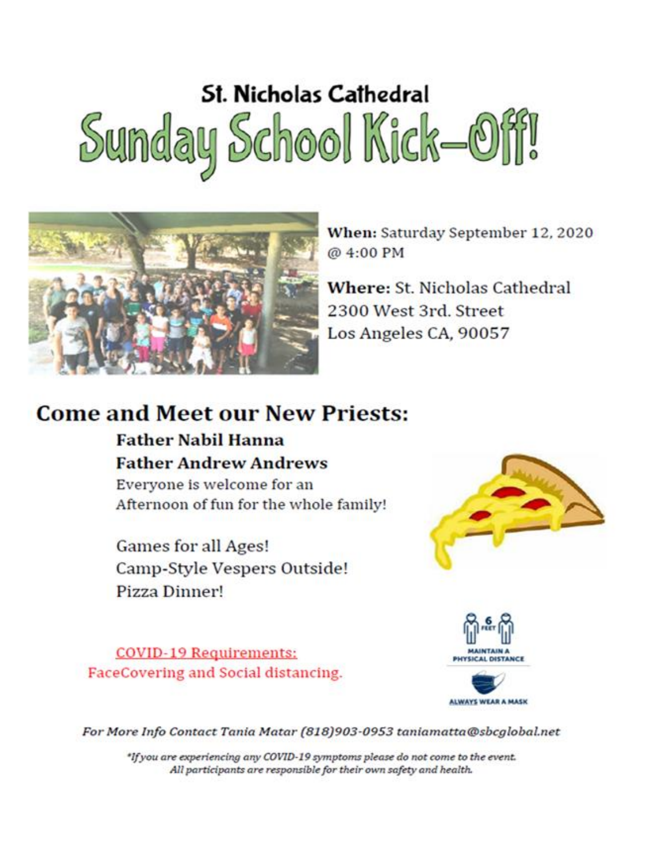# **St. Nicholas Cathedral** Sunday School Kick-Off!



When: Saturday September 12, 2020 @ 4:00 PM

Where: St. Nicholas Cathedral 2300 West 3rd, Street Los Angeles CA, 90057

# **Come and Meet our New Priests:**

**Father Nabil Hanna Father Andrew Andrews** Everyone is welcome for an

Afternoon of fun for the whole family!

**Games for all Ages!** Camp-Style Vespers Outside! Pizza Dinner!





**COVID-19 Requirements:** FaceCovering and Social distancing.

For More Info Contact Tania Matar (818)903-0953 taniamatta@sbcglobal.net

\*If you are experiencing any COVID-19 symptoms please do not come to the event. All participants are responsible for their own safety and health.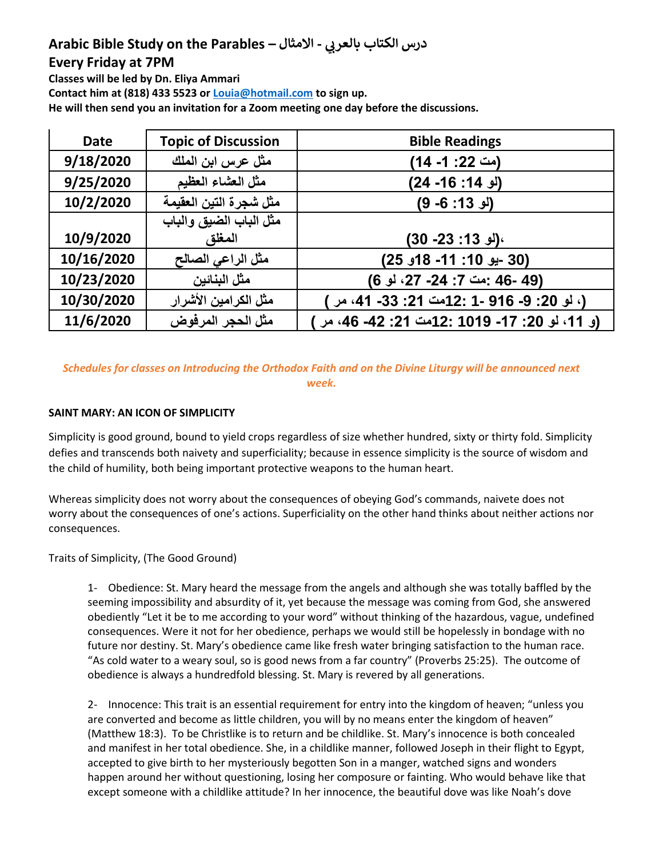# **Arabic Bible Study on the Parables – يب درس الكتاب بالعر - االمثال**

### **Every Friday at 7PM**

**Classes will be led by Dn. Eliya Ammari**

**Contact him at (818) 433 5523 or [Louia@hotmail.com](mailto:Louia@hotmail.com) to sign up.**

**He will then send you an invitation for a Zoom meeting one day before the discussions.** 

| <b>Date</b> | <b>Topic of Discussion</b> | <b>Bible Readings</b>                       |
|-------------|----------------------------|---------------------------------------------|
| 9/18/2020   | مثل عرس ابن الملك          | (مت 22: 1- 14)                              |
| 9/25/2020   | مثل العشاء العظيم          | (لو 14: 16- 24)                             |
| 10/2/2020   | مثل شجرة التين العقيمة     | (لو 13: 6- 9)                               |
|             | مثل الباب الضيق والباب     |                                             |
| 10/9/2020   | المغلق                     | (لو 13: 23- 30)،                            |
| 10/16/2020  | مثل الراعى الصالح          | (30 -يو 10: 11- 18و 25)                     |
| 10/23/2020  | مثل البنائين               | (49 -46 :مت 7: 24- 27، لو 6)                |
| 10/30/2020  | مثل الكرامين الأشرار       | (، لو 20: 9- 916 -1 :12مت 21: 33- 41، مر )  |
| 11/6/2020   | مثل الحجر المرفوض          | (و 11، لو 20: 17- 1019 :12ست 21: 42- 46، مر |

### *Schedules for classes on Introducing the Orthodox Faith and on the Divine Liturgy will be announced next week.*

### **SAINT MARY: AN ICON OF SIMPLICITY**

Simplicity is good ground, bound to yield crops regardless of size whether hundred, sixty or thirty fold. Simplicity defies and transcends both naivety and superficiality; because in essence simplicity is the source of wisdom and the child of humility, both being important protective weapons to the human heart.

Whereas simplicity does not worry about the consequences of obeying God's commands, naivete does not worry about the consequences of one's actions. Superficiality on the other hand thinks about neither actions nor consequences.

Traits of Simplicity, (The Good Ground)

1- Obedience: St. Mary heard the message from the angels and although she was totally baffled by the seeming impossibility and absurdity of it, yet because the message was coming from God, she answered obediently "Let it be to me according to your word" without thinking of the hazardous, vague, undefined consequences. Were it not for her obedience, perhaps we would still be hopelessly in bondage with no future nor destiny. St. Mary's obedience came like fresh water bringing satisfaction to the human race. "As cold water to a weary soul, so is good news from a far country" (Proverbs 25:25). The outcome of obedience is always a hundredfold blessing. St. Mary is revered by all generations.

2- Innocence: This trait is an essential requirement for entry into the kingdom of heaven; "unless you are converted and become as little children, you will by no means enter the kingdom of heaven" (Matthew 18:3). To be Christlike is to return and be childlike. St. Mary's innocence is both concealed and manifest in her total obedience. She, in a childlike manner, followed Joseph in their flight to Egypt, accepted to give birth to her mysteriously begotten Son in a manger, watched signs and wonders happen around her without questioning, losing her composure or fainting. Who would behave like that except someone with a childlike attitude? In her innocence, the beautiful dove was like Noah's dove